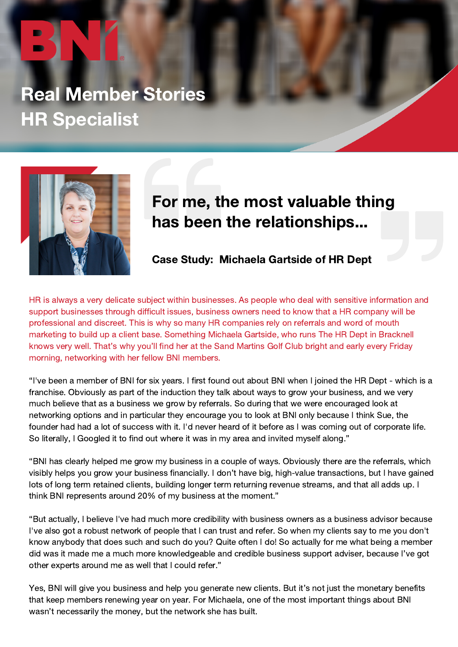## Real Member Stories HR Specialist



## For me, the most valuable thing has been the relationships...

Case Study: Michaela Gartside of HR Dept

HR is always a very delicate subject within businesses. As people who deal with sensitive information and support businesses through difficult issues, business owners need to know that a HR company will be professional and discreet. This is why so many HR companies rely on referrals and word of mouth marketing to build up a client base. Something Michaela Gartside, who runs The HR Dept in Bracknell knows very well. That's why you'll find her at the Sand Martins Golf Club bright and early every Friday morning, networking with her fellow BNI members.

"I've been a member of BNI for six years. I first found out about BNI when I joined the HR Dept - which is a franchise. Obviously as part of the induction they talk about ways to grow your business, and we very much believe that as a business we grow by referrals. So during that we were encouraged look at networking options and in particular they encourage you to look at BNI only because I think Sue, the founder had had a lot of success with it. I'd never heard of it before as I was coming out of corporate life. So literally, I Googled it to find out where it was in my area and invited myself along."

"BNI has clearly helped me grow my business in a couple of ways. Obviously there are the referrals, which visibly helps you grow your business financially. I don't have big, high-value transactions, but I have gained lots of long term retained clients, building longer term returning revenue streams, and that all adds up. I think BNI represents around 20% of my business at the moment."

"But actually, I believe I've had much more credibility with business owners as a business advisor because I've also got a robust network of people that I can trust and refer. So when my clients say to me you don't know anybody that does such and such do you? Quite often I do! So actually for me what being a member did was it made me a much more knowledgeable and credible business support adviser, because I've got other experts around me as well that I could refer."

Yes, BNI will give you business and help you generate new clients. But it's not just the monetary benefits that keep members renewing year on year. For Michaela, one of the most important things about BNI wasn't necessarily the money, but the network she has built.